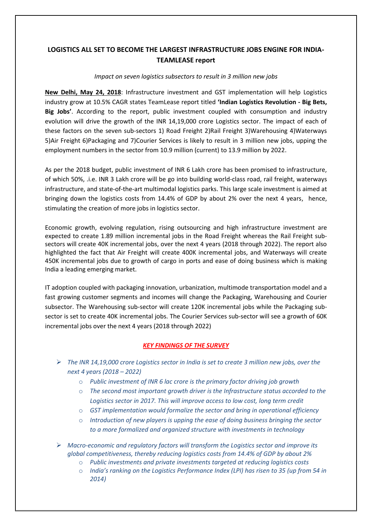## **LOGISTICS ALL SET TO BECOME THE LARGEST INFRASTRUCTURE JOBS ENGINE FOR INDIA-TEAMLEASE report**

## *Impact on seven logistics subsectors to result in 3 million new jobs*

**New Delhi, May 24, 2018**: Infrastructure investment and GST implementation will help Logistics industry grow at 10.5% CAGR states TeamLease report titled **'Indian Logistics Revolution - Big Bets, Big Jobs'**. According to the report, public investment coupled with consumption and industry evolution will drive the growth of the INR 14,19,000 crore Logistics sector. The impact of each of these factors on the seven sub-sectors 1) Road Freight 2)Rail Freight 3)Warehousing 4)Waterways 5)Air Freight 6)Packaging and 7)Courier Services is likely to result in 3 million new jobs, upping the employment numbers in the sector from 10.9 million (current) to 13.9 million by 2022.

As per the 2018 budget, public investment of INR 6 Lakh crore has been promised to infrastructure, of which 50%, .i.e. INR 3 Lakh crore will be go into building world-class road, rail freight, waterways infrastructure, and state-of-the-art multimodal logistics parks. This large scale investment is aimed at bringing down the logistics costs from 14.4% of GDP by about 2% over the next 4 years, hence, stimulating the creation of more jobs in logistics sector.

Economic growth, evolving regulation, rising outsourcing and high infrastructure investment are expected to create 1.89 million incremental jobs in the Road Freight whereas the Rail Freight subsectors will create 40K incremental jobs, over the next 4 years (2018 through 2022). The report also highlighted the fact that Air Freight will create 400K incremental jobs, and Waterways will create 450K incremental jobs due to growth of cargo in ports and ease of doing business which is making India a leading emerging market.

IT adoption coupled with packaging innovation, urbanization, multimode transportation model and a fast growing customer segments and incomes will change the Packaging, Warehousing and Courier subsector. The Warehousing sub-sector will create 120K incremental jobs while the Packaging subsector is set to create 40K incremental jobs. The Courier Services sub-sector will see a growth of 60K incremental jobs over the next 4 years (2018 through 2022)

## *KEY FINDINGS OF THE SURVEY*

- *The INR 14,19,000 crore Logistics sector in India is set to create 3 million new jobs, over the next 4 years (2018 – 2022)*
	- o *Public investment of INR 6 lac crore is the primary factor driving job growth*
	- o *The second most important growth driver is the Infrastructure status accorded to the Logistics sector in 2017. This will improve access to low cost, long term credit*
	- o *GST implementation would formalize the sector and bring in operational efficiency*
	- o *Introduction of new players is upping the ease of doing business bringing the sector to a more formalized and organized structure with investments in technology*
- *Macro-economic and regulatory factors will transform the Logistics sector and improve its global competitiveness, thereby reducing logistics costs from 14.4% of GDP by about 2%*
	- o *Public investments and private investments targeted at reducing logistics costs*
	- o *India's ranking on the Logistics Performance Index (LPI) has risen to 35 (up from 54 in 2014)*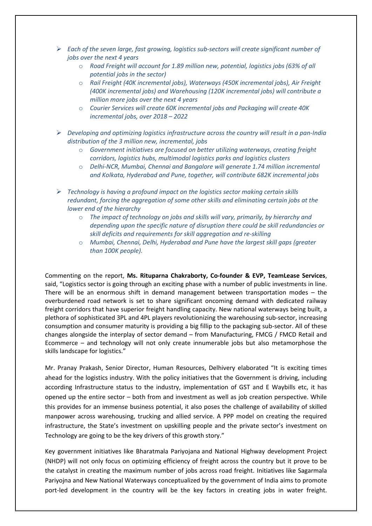- *Each of the seven large, fast growing, logistics sub-sectors will create significant number of jobs over the next 4 years*
	- o *Road Freight will account for 1.89 million new, potential, logistics jobs (63% of all potential jobs in the sector)*
	- o *Rail Freight (40K incremental jobs), Waterways (450K incremental jobs), Air Freight (400K incremental jobs) and Warehousing (120K incremental jobs) will contribute a million more jobs over the next 4 years*
	- o *Courier Services will create 60K incremental jobs and Packaging will create 40K incremental jobs, over 2018 – 2022*
- *Developing and optimizing logistics infrastructure across the country will result in a pan-India distribution of the 3 million new, incremental, jobs*
	- o *Government initiatives are focused on better utilizing waterways, creating freight corridors, logistics hubs, multimodal logistics parks and logistics clusters*
	- o *Delhi-NCR, Mumbai, Chennai and Bangalore will generate 1.74 million incremental and Kolkata, Hyderabad and Pune, together, will contribute 682K incremental jobs*
- *Technology is having a profound impact on the logistics sector making certain skills redundant, forcing the aggregation of some other skills and eliminating certain jobs at the lower end of the hierarchy*
	- o *The impact of technology on jobs and skills will vary, primarily, by hierarchy and depending upon the specific nature of disruption there could be skill redundancies or skill deficits and requirements for skill aggregation and re-skilling*
	- o *Mumbai, Chennai, Delhi, Hyderabad and Pune have the largest skill gaps (greater than 100K people).*

Commenting on the report, **Ms. Rituparna Chakraborty, Co-founder & EVP, TeamLease Services**, said, "Logistics sector is going through an exciting phase with a number of public investments in line. There will be an enormous shift in demand management between transportation modes – the overburdened road network is set to share significant oncoming demand with dedicated railway freight corridors that have superior freight handling capacity. New national waterways being built, a plethora of sophisticated 3PL and 4PL players revolutionizing the warehousing sub-sector, increasing consumption and consumer maturity is providing a big fillip to the packaging sub-sector. All of these changes alongside the interplay of sector demand – from Manufacturing, FMCG / FMCD Retail and Ecommerce – and technology will not only create innumerable jobs but also metamorphose the skills landscape for logistics."

Mr. Pranay Prakash, Senior Director, Human Resources, Delhivery elaborated "It is exciting times ahead for the logistics industry. With the policy initiatives that the Government is driving, including according Infrastructure status to the industry, implementation of GST and E Waybills etc, it has opened up the entire sector – both from and investment as well as job creation perspective. While this provides for an immense business potential, it also poses the challenge of availability of skilled manpower across warehousing, trucking and allied service. A PPP model on creating the required infrastructure, the State's investment on upskilling people and the private sector's investment on Technology are going to be the key drivers of this growth story."

Key government initiatives like Bharatmala Pariyojana and National Highway development Project (NHDP) will not only focus on optimizing efficiency of freight across the country but it prove to be the catalyst in creating the maximum number of jobs across road freight. Initiatives like Sagarmala Pariyojna and New National Waterways conceptualized by the government of India aims to promote port-led development in the country will be the key factors in creating jobs in water freight.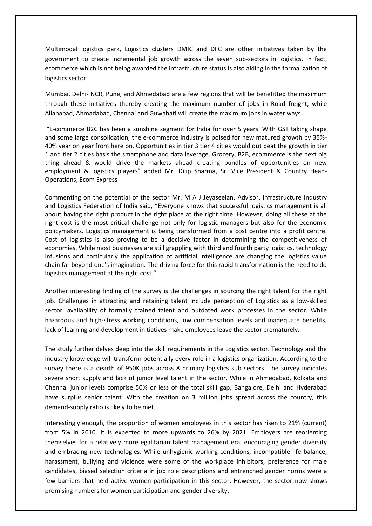Multimodal logistics park, Logistics clusters DMIC and DFC are other initiatives taken by the government to create incremental job growth across the seven sub-sectors in logistics. In fact, ecommerce which is not being awarded the infrastructure status is also aiding in the formalization of logistics sector.

Mumbai, Delhi- NCR, Pune, and Ahmedabad are a few regions that will be benefitted the maximum through these initiatives thereby creating the maximum number of jobs in Road freight, while Allahabad, Ahmadabad, Chennai and Guwahati will create the maximum jobs in water ways.

"E-commerce B2C has been a sunshine segment for India for over 5 years. With GST taking shape and some large consolidation, the e-commerce industry is poised for new matured growth by 35%- 40% year on year from here on. Opportunities in tier 3 tier 4 cities would out beat the growth in tier 1 and tier 2 cities basis the smartphone and data leverage. Grocery, B2B, ecommerce is the next big thing ahead & would drive the markets ahead creating bundles of opportunities on new employment & logistics players" added Mr. Dilip Sharma, Sr. Vice President & Country Head-Operations, Ecom Express

Commenting on the potential of the sector Mr. M A J Jeyaseelan, Advisor, Infrastructure Industry and Logistics Federation of India said, "Everyone knows that successful logistics management is all about having the right product in the right place at the right time. However, doing all these at the right cost is the most critical challenge not only for logistic managers but also for the economic policymakers. Logistics management is being transformed from a cost centre into a profit centre. Cost of logistics is also proving to be a decisive factor in determining the competitiveness of economies. While most businesses are still grappling with third and fourth party logistics, technology infusions and particularly the application of artificial intelligence are changing the logistics value chain far beyond one's imagination. The driving force for this rapid transformation is the need to do logistics management at the right cost."

Another interesting finding of the survey is the challenges in sourcing the right talent for the right job. Challenges in attracting and retaining talent include perception of Logistics as a low-skilled sector, availability of formally trained talent and outdated work processes in the sector. While hazardous and high-stress working conditions, low compensation levels and inadequate benefits, lack of learning and development initiatives make employees leave the sector prematurely.

The study further delves deep into the skill requirements in the Logistics sector. Technology and the industry knowledge will transform potentially every role in a logistics organization. According to the survey there is a dearth of 950K jobs across 8 primary logistics sub sectors. The survey indicates severe short supply and lack of junior level talent in the sector. While in Ahmedabad, Kolkata and Chennai junior levels comprise 50% or less of the total skill gap, Bangalore, Delhi and Hyderabad have surplus senior talent. With the creation on 3 million jobs spread across the country, this demand-supply ratio is likely to be met.

Interestingly enough, the proportion of women employees in this sector has risen to 21% (current) from 5% in 2010. It is expected to more upwards to 26% by 2021. Employers are reorienting themselves for a relatively more egalitarian talent management era, encouraging gender diversity and embracing new technologies. While unhygienic working conditions, incompatible life balance, harassment, bullying and violence were some of the workplace inhibitors, preference for male candidates, biased selection criteria in job role descriptions and entrenched gender norms were a few barriers that held active women participation in this sector. However, the sector now shows promising numbers for women participation and gender diversity.